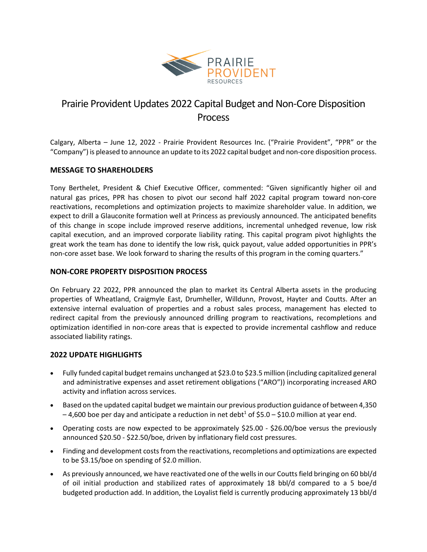

# Prairie Provident Updates 2022 Capital Budget and Non-Core Disposition Process

Calgary, Alberta – June 12, 2022 - Prairie Provident Resources Inc. ("Prairie Provident", "PPR" or the "Company") is pleased to announce an update to its 2022 capital budget and non-core disposition process.

## **MESSAGE TO SHAREHOLDERS**

Tony Berthelet, President & Chief Executive Officer, commented: "Given significantly higher oil and natural gas prices, PPR has chosen to pivot our second half 2022 capital program toward non-core reactivations, recompletions and optimization projects to maximize shareholder value. In addition, we expect to drill a Glauconite formation well at Princess as previously announced. The anticipated benefits of this change in scope include improved reserve additions, incremental unhedged revenue, low risk capital execution, and an improved corporate liability rating. This capital program pivot highlights the great work the team has done to identify the low risk, quick payout, value added opportunities in PPR's non-core asset base. We look forward to sharing the results of this program in the coming quarters."

## **NON-CORE PROPERTY DISPOSITION PROCESS**

On February 22 2022, PPR announced the plan to market its Central Alberta assets in the producing properties of Wheatland, Craigmyle East, Drumheller, Willdunn, Provost, Hayter and Coutts. After an extensive internal evaluation of properties and a robust sales process, management has elected to redirect capital from the previously announced drilling program to reactivations, recompletions and optimization identified in non-core areas that is expected to provide incremental cashflow and reduce associated liability ratings.

## **2022 UPDATE HIGHLIGHTS**

- Fully funded capital budget remains unchanged at \$23.0 to \$23.5 million (including capitalized general and administrative expenses and asset retirement obligations ("ARO")) incorporating increased ARO activity and inflation across services.
- Based on the updated capital budget we maintain our previous production guidance of between 4,350  $-4,600$  boe per day and anticipate a reduction in net debt<sup>1</sup> of \$5.0 – \$10.0 million at year end.
- Operating costs are now expected to be approximately \$25.00 \$26.00/boe versus the previously announced \$20.50 - \$22.50/boe, driven by inflationary field cost pressures.
- Finding and development costs from the reactivations, recompletions and optimizations are expected to be \$3.15/boe on spending of \$2.0 million.
- As previously announced, we have reactivated one of the wells in our Coutts field bringing on 60 bbl/d of oil initial production and stabilized rates of approximately 18 bbl/d compared to a 5 boe/d budgeted production add. In addition, the Loyalist field is currently producing approximately 13 bbl/d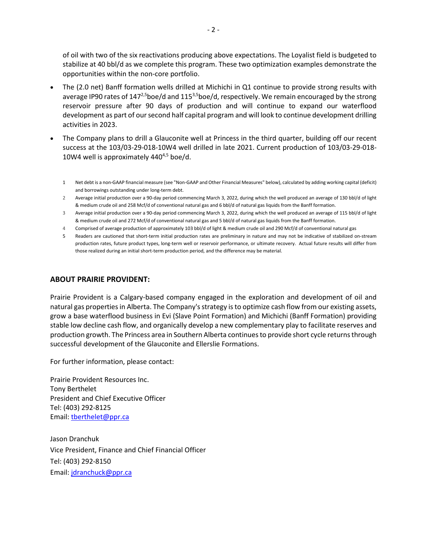of oil with two of the six reactivations producing above expectations. The Loyalist field is budgeted to stabilize at 40 bbl/d as we complete this program. These two optimization examples demonstrate the opportunities within the non-core portfolio.

- The (2.0 net) Banff formation wells drilled at Michichi in Q1 continue to provide strong results with average IP90 rates of  $147^{2,5}$ boe/d and  $115^{3,5}$ boe/d, respectively. We remain encouraged by the strong reservoir pressure after 90 days of production and will continue to expand our waterflood development as part of our second half capital program and will look to continue development drilling activities in 2023.
- The Company plans to drill a Glauconite well at Princess in the third quarter, building off our recent success at the 103/03-29-018-10W4 well drilled in late 2021. Current production of 103/03-29-018- 10W4 well is approximately  $440^{4,5}$  boe/d.
	- 1 Net debt is a non-GAAP financial measure (see "Non-GAAP and Other Financial Measures" below), calculated by adding working capital (deficit) and borrowings outstanding under long-term debt.
	- 2 Average initial production over a 90-day period commencing March 3, 2022, during which the well produced an average of 130 bbl/d of light & medium crude oil and 258 Mcf/d of conventional natural gas and 6 bbl/d of natural gas liquids from the Banff formation.
	- 3 Average initial production over a 90-day period commencing March 3, 2022, during which the well produced an average of 115 bbl/d of light & medium crude oil and 272 Mcf/d of conventional natural gas and 5 bbl/d of natural gas liquids from the Banff formation.
	- 4 Comprised of average production of approximately 103 bbl/d of light & medium crude oil and 290 Mcf/d of conventional natural gas
	- 5 Readers are cautioned that short-term initial production rates are preliminary in nature and may not be indicative of stabilized on-stream production rates, future product types, long-term well or reservoir performance, or ultimate recovery. Actual future results will differ from those realized during an initial short-term production period, and the difference may be material.

## **ABOUT PRAIRIE PROVIDENT:**

Prairie Provident is a Calgary-based company engaged in the exploration and development of oil and natural gas properties in Alberta. The Company's strategy is to optimize cash flow from our existing assets, grow a base waterflood business in Evi (Slave Point Formation) and Michichi (Banff Formation) providing stable low decline cash flow, and organically develop a new complementary play to facilitate reserves and production growth. The Princess area in Southern Alberta continues to provide short cycle returns through successful development of the Glauconite and Ellerslie Formations.

For further information, please contact:

Prairie Provident Resources Inc. Tony Berthelet President and Chief Executive Officer Tel: (403) 292-8125 Email: [tberthelet@ppr.ca](mailto:tberthelet@ppr.ca)

Jason Dranchuk Vice President, Finance and Chief Financial Officer Tel: (403) 292-8150 Email: [jdranchuck@ppr.ca](mailto:jdranchuck@ppr.ca)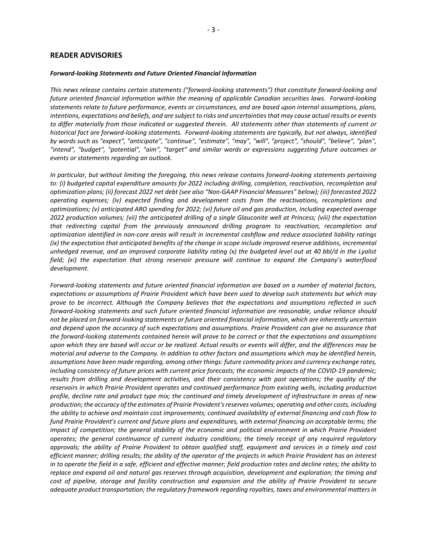#### *Forward-looking Statements and Future Oriented Financial Information*

*This news release contains certain statements ("forward-looking statements") that constitute forward-looking and future oriented financial information within the meaning of applicable Canadian securities laws. Forward-looking statements relate to future performance, events or circumstances, and are based upon internal assumptions, plans, intentions, expectations and beliefs, and are subject to risks and uncertainties that may cause actual results or events to differ materially from those indicated or suggested therein. All statements other than statements of current or historical fact are forward-looking statements. Forward-looking statements are typically, but not always, identified by words such as "expect", "anticipate", "continue", "estimate", "may", "will", "project", "should", "believe", "plan", "intend", "budget", "potential", "aim", "target" and similar words or expressions suggesting future outcomes or events or statements regarding an outlook.*

*In particular, but without limiting the foregoing, this news release contains forward-looking statements pertaining to: (i) budgeted capital expenditure amounts for 2022 including drilling, completion, reactivation, recompletion and optimization plans; (ii) forecast 2022 net debt (see also "Non-GAAP Financial Measures" below); (iii) forecasted 2022 operating expenses; (iv) expected finding and development costs from the reactivations, recompletions and optimizations; (v) anticipated ARO spending for 2022; (vi) future oil and gas production, including expected average 2022 production volumes; (vii) the anticipated drilling of a single Glauconite well at Princess; (viii) the expectation that redirecting capital from the previously announced drilling program to reactivation, recompletion and optimization identified in non-core areas will result in incremental cashflow and reduce associated liability ratings (ix) the expectation that anticipated benefits of the change in scope include improved reserve additions, incremental unhedged revenue, and an improved corporate liability rating (x) the budgeted level out at 40 bbl/d in the Lyalist field; (xi) the expectation that strong reservoir pressure will continue to expand the Company's waterflood development.*

*Forward-looking statements and future oriented financial information are based on a number of material factors, expectations or assumptions of Prairie Provident which have been used to develop such statements but which may prove to be incorrect. Although the Company believes that the expectations and assumptions reflected in such forward-looking statements and such future oriented financial information are reasonable, undue reliance should not be placed on forward-looking statements or future oriented financial information, which are inherently uncertain and depend upon the accuracy of such expectations and assumptions. Prairie Provident can give no assurance that the forward-looking statements contained herein will prove to be correct or that the expectations and assumptions upon which they are based will occur or be realized. Actual results or events will differ, and the differences may be material and adverse to the Company. In addition to other factors and assumptions which may be identified herein, assumptions have been made regarding, among other things: future commodity prices and currency exchange rates, including consistency of future prices with current price forecasts; the economic impacts of the COVID-19 pandemic; results from drilling and development activities, and their consistency with past operations; the quality of the reservoirs in which Prairie Provident operates and continued performance from existing wells, including production profile, decline rate and product type mix; the continued and timely development of infrastructure in areas of new production; the accuracy of the estimates of Prairie Provident's reserves volumes; operating and other costs, including the ability to achieve and maintain cost improvements; continued availability of external financing and cash flow to fund Prairie Provident's current and future plans and expenditures, with external financing on acceptable terms; the impact of competition; the general stability of the economic and political environment in which Prairie Provident operates; the general continuance of current industry conditions; the timely receipt of any required regulatory approvals; the ability of Prairie Provident to obtain qualified staff, equipment and services in a timely and cost efficient manner; drilling results; the ability of the operator of the projects in which Prairie Provident has an interest in to operate the field in a safe, efficient and effective manner; field production rates and decline rates; the ability to replace and expand oil and natural gas reserves through acquisition, development and exploration; the timing and cost of pipeline, storage and facility construction and expansion and the ability of Prairie Provident to secure adequate product transportation; the regulatory framework regarding royalties, taxes and environmental matters in*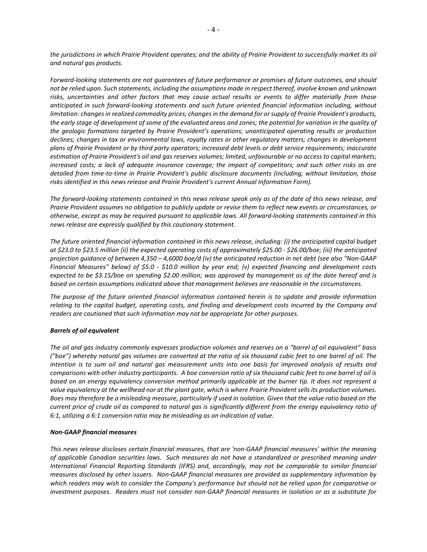*the jurisdictions in which Prairie Provident operates; and the ability of Prairie Provident to successfully market its oil and natural gas products.*

*Forward-looking statements are not guarantees of future performance or promises of future outcomes, and should not be relied upon. Such statements, including the assumptions made in respect thereof, involve known and unknown risks, uncertainties and other factors that may cause actual results or events to differ materially from those anticipated in such forward-looking statements and such future oriented financial information including, without limitation: changes in realized commodity prices; changes in the demand for or supply of Prairie Provident's products, the early stage of development of some of the evaluated areas and zones; the potential for variation in the quality of the geologic formations targeted by Prairie Provident's operations; unanticipated operating results or production declines; changes in tax or environmental laws, royalty rates or other regulatory matters; changes in development plans of Prairie Provident or by third party operators; increased debt levels or debt service requirements; inaccurate estimation of Prairie Provident's oil and gas reserves volumes; limited, unfavourable or no access to capital markets; increased costs; a lack of adequate insurance coverage; the impact of competitors; and such other risks as are detailed from time-to-time in Prairie Provident's public disclosure documents (including, without limitation, those risks identified in this news release and Prairie Provident's current Annual Information Form).*

*The forward-looking statements contained in this news release speak only as of the date of this news release, and Prairie Provident assumes no obligation to publicly update or revise them to reflect new events or circumstances, or otherwise, except as may be required pursuant to applicable laws. All forward-looking statements contained in this news release are expressly qualified by this cautionary statement.*

*The future oriented financial information contained in this news release, including: (i) the anticipated capital budget at \$23.0 to \$23.5 million (ii) the expected operating costs of approximately \$25.00 - \$26.00/boe; (iii) the anticipated projection guidance of between 4,350 – 4,6000 boe/d (iv) the anticipated reduction in net debt (see also "Non-GAAP Financial Measures" below) of \$5.0 - \$10.0 million by year end; (v) expected financing and development costs expected to be \$3.15/boe on spending \$2.00 million; was approved by management as of the date hereof and is based on certain assumptions indicated above that management believes are reasonable in the circumstances.* 

*The purpose of the future oriented financial information contained herein is to update and provide information relating to the capital budget, operating costs, and finding and development costs incurred by the Company and readers are cautioned that such information may not be appropriate for other purposes.*

#### *Barrels of oil equivalent*

*The oil and gas industry commonly expresses production volumes and reserves on a "barrel of oil equivalent" basis ("boe") whereby natural gas volumes are converted at the ratio of six thousand cubic feet to one barrel of oil. The intention is to sum oil and natural gas measurement units into one basis for improved analysis of results and comparisons with other industry participants. A boe conversion ratio of six thousand cubic feet to one barrel of oil is based on an energy equivalency conversion method primarily applicable at the burner tip. It does not represent a value equivalency at the wellhead nor at the plant gate, which is where Prairie Provident sells its production volumes. Boes may therefore be a misleading measure, particularly if used in isolation. Given that the value ratio based on the current price of crude oil as compared to natural gas is significantly different from the energy equivalency ratio of 6:1, utilizing a 6:1 conversion ratio may be misleading as an indication of value.*

#### *Non-GAAP financial measures*

*This news release discloses certain financial measures, that are 'non-GAAP financial measures' within the meaning of applicable Canadian securities laws. Such measures do not have a standardized or prescribed meaning under International Financial Reporting Standards (IFRS) and, accordingly, may not be comparable to similar financial measures disclosed by other issuers. Non-GAAP financial measures are provided as supplementary information by which readers may wish to consider the Company's performance but should not be relied upon for comparative or investment purposes. Readers must not consider non-GAAP financial measures in isolation or as a substitute for*